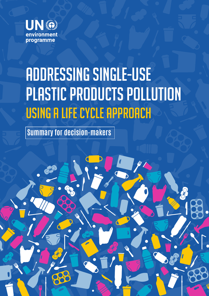

# Addressing Single-Use Plastic Products Pollution Using a Life Cycle Approach

**Summary for decision-makers**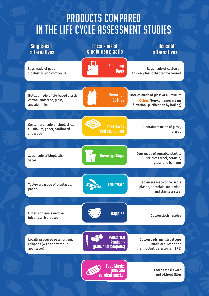# Products compared in the Life Cycle Assessment studies

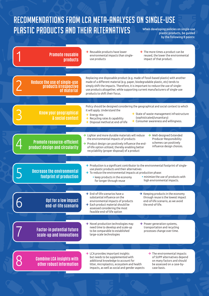### Recommendations from LCA meta-analyses on single-use **PLASTIC PRODUCTS AND THEIR ALTERNATIVES** When developing policies on single-use plastic products, be guided by the following 8 points:

| <b>Promote reusable</b><br><b>products</b>                          | $\rightarrow$ Reusable products have lower<br>$\rightarrow$ The more times a product can be<br>environmental impacts than single-<br>reused, the lower the environmental<br>impact of that product.<br>use products                                                                                                                                                                                   |
|---------------------------------------------------------------------|-------------------------------------------------------------------------------------------------------------------------------------------------------------------------------------------------------------------------------------------------------------------------------------------------------------------------------------------------------------------------------------------------------|
| <b>Reduce the use of single-use</b>                                 | Replacing one disposable product (e.g. made of fossil-based plastic) with another<br>made of a different material (e.g. paper, biodegradable plastic, etc) tends to                                                                                                                                                                                                                                   |
| products irrespective<br>  of material                              | simply shift the impacts. Therefore, it is important to reduce the use of single-<br>use products altogether, while supporting current manufacturers of single-use<br>products to shift their focus.                                                                                                                                                                                                  |
| <b>Know your geographical</b><br>& social context                   | Policy should be designed considering the geographical and social context to which<br>it will apply. Understand the<br>$\rightarrow$ State of waste-management infrastructure<br>$\rightarrow$ Energy mix<br>(sophisticated/unsanitary)<br>$\rightarrow$ Recycling rates & capability<br>$\rightarrow$ Consumer awareness and willingness.<br>$\rightarrow$ Disposal method at end-of-life            |
| <b>Promote resource-efficient</b><br>product design and circularity | $\rightarrow$ Lighter and more durable materials will reduce<br>$\rightarrow$ Well-designed Extended<br>the environmental impacts of products<br>Producer Responsibility<br>schemes can positively<br>$\rightarrow$ Product design can positively influence the end-<br>influence design choices.<br>of-life option utilized, thereby enabling better<br>recyclability (proper disposal) of a product |
| <b>Decrease the environmental</b><br>footprint of production        | $\rightarrow$ Production is a significant contributor to the environmental footprint of single-<br>use plastic products and their alternatives<br>$\rightarrow$ To reduce the environmental impacts at production phase:<br>· minimize the use of products with<br>• keep products in the economy<br>high environmental impacts.<br>for longer through reuse                                          |
| Opt for a low impact<br>end-of-life scenario                        | $\rightarrow$ End-of-life scenarios have a<br>$\rightarrow$ Keeping products in the economy<br>substantial influence on the<br>through reuse is the lowest impact<br>end-of-life scenario, as we avoid<br>environmental impacts of products<br>$\rightarrow$ Each product material should be<br>the end-of-life.<br>assessed considering the most<br>feasible end-of-life option                      |
| <b>Factor-in potential future</b><br>scale-up and innovations       | $\rightarrow$ Novel production technologies may<br>$\rightarrow$ Power generation systems,<br>need time to develop and scale-up<br>transportation and recycling<br>to be comparable to established<br>processes change over time.<br>large-scale technologies                                                                                                                                         |
| <b>Combine LCA insights with</b><br>other robust information        | $\rightarrow$ LCA provides important insights<br>$\rightarrow$ The environmental impacts<br>but needs to be supplemented with<br>of SUPP alternatives depend<br>additional knowledge to account for<br>on many factors and should<br>litter, microplastics, ecosystem and health<br>be assessed on a case-by-<br>impacts, as well as social and gender aspects<br>case basis.                         |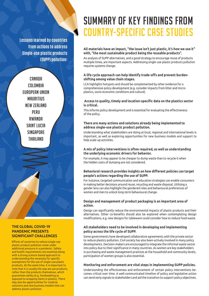**Lessons learned by countries from actions to address Single-use plastic products (SUPP) pollution:**



#### **THE GLOBAL COVID-19 PANDEMIC PRESENTS SIGNIFICANT CHALLENGES**

Efforts of countries to reduce single-use plastic product pollution come under additional pressure in a pandemic. Safety and health requirements are essential along with a strong science-based approach to understanding the necessity for specific exemptions for the use of single-use plastic products. At the same time, it is important to note that it is usually the way we use products, rather than the products themselves, which guarantees safety (e.g. handwashing as opposed to wrapping items in plastic). There may also be opportunities for creative solutions and new business models that can address plastic pollution.

## Summary of key findings from country-specific case studies

#### **All materials have an impact, "the issue isn't just plastic, it's how we use it" with, "the most sustainable product being the reusable products".**

An analysis of SUPP alternatives, and a good strategy to encourage reuse of products multiple times, are important aspects. Addressing single-use plastic products pollution requires systems change.

#### **A life cycle approach can help identify trade-offs and prevent burdenshifting among value chain stages.**

LCA highlights hotspots and should be complemented by other evidence for a comprehensive policy development (e.g. consider impacts from litter and microplastics, socio-economic conditions and culture).

#### **Access to quality, timely and location-specific data on the plastics sector is critical.**

This informs policy development and is essential for evaluating the effectiveness of the policy.

#### **There are many actions and solutions already being implemented to address single-use plastic product pollution.**

Understanding what stakeholders are doing at local, regional and international levels is important, as well as exploring opportunities for new business models and support to help scale-up activities.

#### **A mix of policy interventions is often required, as well as understanding the underlying economic drivers for behavior.**

For example, it may appear to be cheaper to dump waste than to recycle it when the hidden costs of dumping are not considered.

#### **Behavioral research provides insights on how different policies can target people's actions regarding the use of SUPP.**

For instance, targeted communication and education strategies can enable consumers in making better decisions around reuse, recycling and waste disposal. Utilising a gender lens can also highlight the gendered roles and behavioural preferences of women and men to unlock long-term behavioural change.

#### **Design and management of product packaging is an important area of action.**

Design can significantly reduce the environmental impacts of plastic products and their alternatives. Other co-benefits should also be explored when contemplating design modifications, e.g. new designs for tableware could consider how to reduce food waste.

#### **All stakeholders need to be involved in developing and implementing policy across the life cycle of SUPP.**

Some governments have developed collaborative agreements with the private sector to reduce plastics pollution. Civil society has also been actively involved in many policy developments. Decision-makers are encouraged to integrate the informal waste sector into policy due to their significance in many countries. As women are key stakeholders in purchasing and waste management practices at the household and community levels, participation of women groups is also essential.

#### **Monitoring and enforcement are vital steps in implementing SUPP policies.**

Understanding the effectiveness and enforcement of certain policy interventions becomes critical over time. A well-communicated timeline of policy and legislative action can send early signals to stakeholders and aid the transition to support policy objectives.